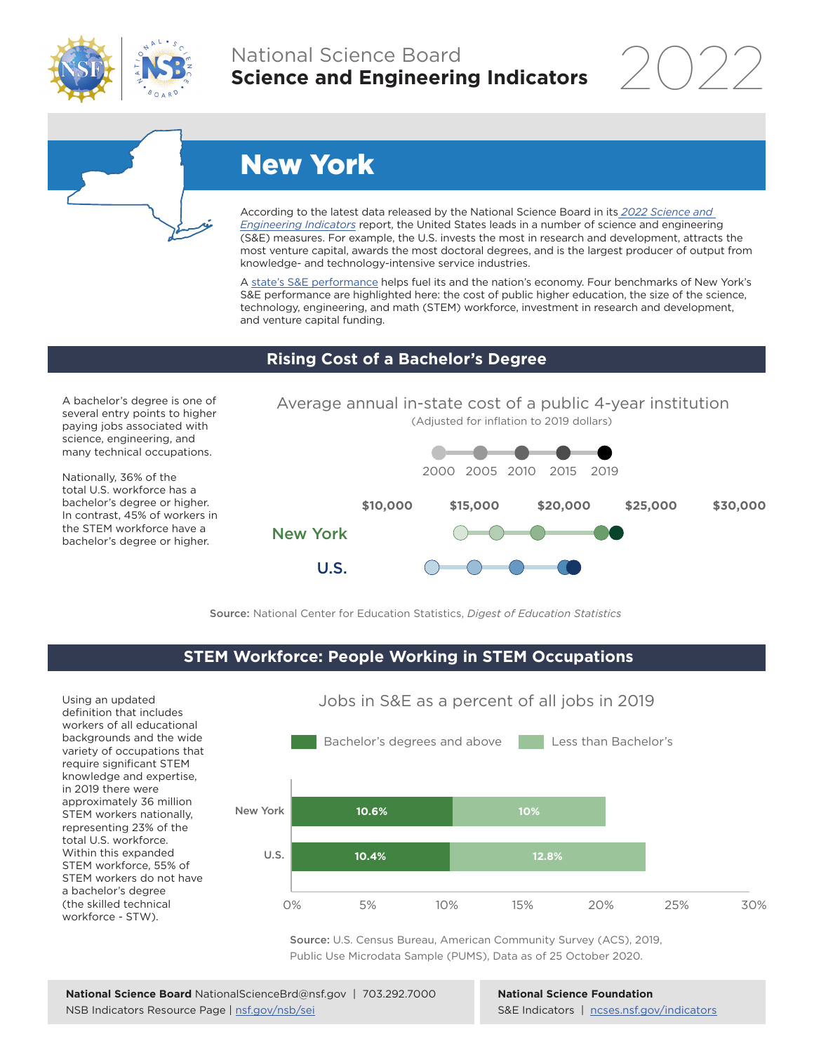

## National Science Board **Science and Engineering Indicators**



# New York

According to the latest data released by the National Science Board in its *[2022 Science and](https://www.ncses.nsf.gov/indicators)  [Engineering Indicators](https://www.ncses.nsf.gov/indicators)* report, the United States leads in a number of science and engineering (S&E) measures. For example, the U.S. invests the most in research and development, attracts the most venture capital, awards the most doctoral degrees, and is the largest producer of output from knowledge- and technology-intensive service industries.

A [state's S&E performance](https://ncses.nsf.gov/indicators/states/) helps fuel its and the nation's economy. Four benchmarks of New York's S&E performance are highlighted here: the cost of public higher education, the size of the science, technology, engineering, and math (STEM) workforce, investment in research and development, and venture capital funding.

#### **Rising Cost of a Bachelor's Degree**

A bachelor's degree is one of several entry points to higher paying jobs associated with science, engineering, and many technical occupations.

Nationally, 36% of the total U.S. workforce has a bachelor's degree or higher. In contrast, 45% of workers in the STEM workforce have a bachelor's degree or higher.



Source: National Center for Education Statistics, *Digest of Education Statistics*

### **STEM Workforce: People Working in STEM Occupations**

Using an updated definition that includes workers of all educational backgrounds and the wide variety of occupations that require significant STEM knowledge and expertise, in 2019 there were approximately 36 million STEM workers nationally, representing 23% of the total U.S. workforce. Within this expanded STEM workforce, 55% of STEM workers do not have a bachelor's degree (the skilled technical workforce - STW).



Jobs in S&E as a percent of all jobs in 2019

Source: U.S. Census Bureau, American Community Survey (ACS), 2019, Public Use Microdata Sample (PUMS), Data as of 25 October 2020.

**National Science Foundation** S&E Indicators | [ncses.nsf.gov/indicators](https://www.ncses.nsf.gov/indicators)